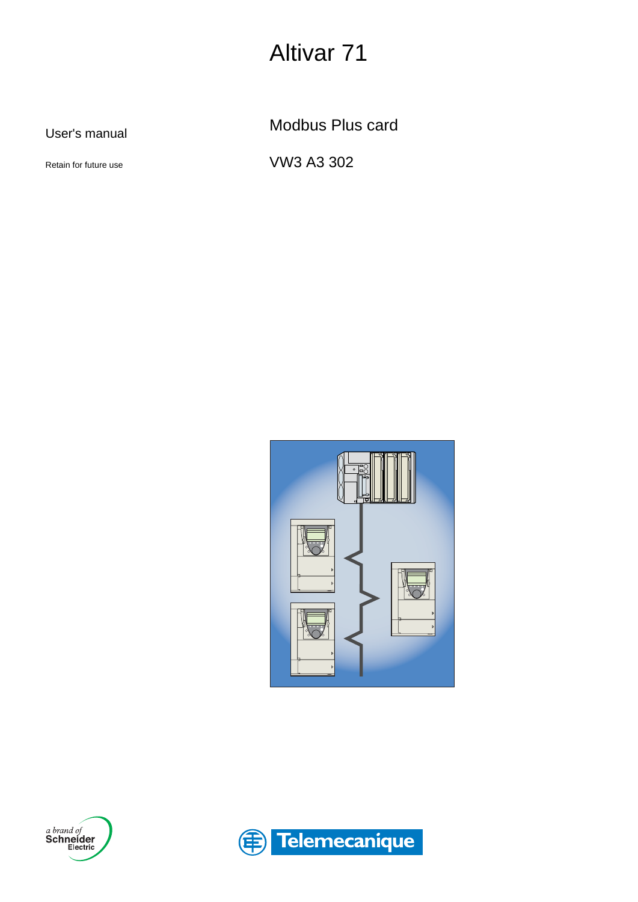# Altivar 71

User's manual

Retain for future use

Modbus Plus card

VW3 A3 302





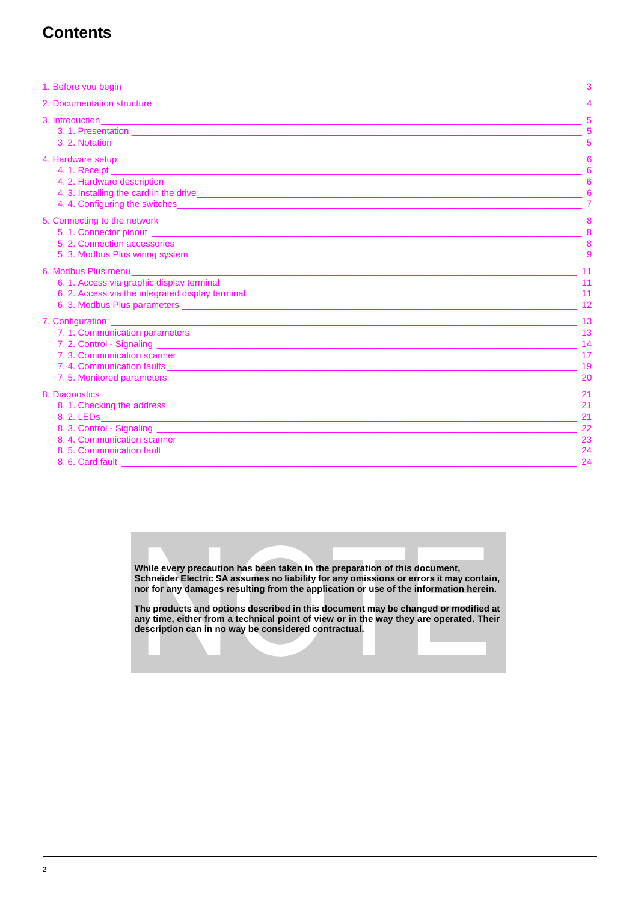## **Contents**

| 1. Before you begin a state of the state of the state of the state of the state of the state of the state of the                                                                                                                     |                                  |
|--------------------------------------------------------------------------------------------------------------------------------------------------------------------------------------------------------------------------------------|----------------------------------|
|                                                                                                                                                                                                                                      |                                  |
|                                                                                                                                                                                                                                      |                                  |
| 4. 3. Installing the card in the drive entries and the contract of the drive entries and the card in the drive                                                                                                                       |                                  |
| 5. Connecting to the network <u>experimental control and the set of the set of the set of the set of the set of the set of the set of the set of the set of the set of the set of the set of the set of the set of the set of th</u> | $\mathbf{Q}$                     |
|                                                                                                                                                                                                                                      | 12                               |
|                                                                                                                                                                                                                                      | 20                               |
| 8. 6. Card fault <b>contract and the contract of the contract of the contract of the contract of the contract of the contract of the contract of the contract of the contract of the contract of the contract of the contract of</b> | 21<br>21<br>21<br>23<br>24<br>24 |

While every precaution has been taken in the preparation of this document,<br>Schneider Electric SA assumes no liability for any omissions or errors it may contain, nor for any damages resulting from the application or use of the information herein.

The products and options described in this document may be changed or modified at any time, either from a technical point of view or in the way they are operated. Their<br>description can in no way be considered contractual.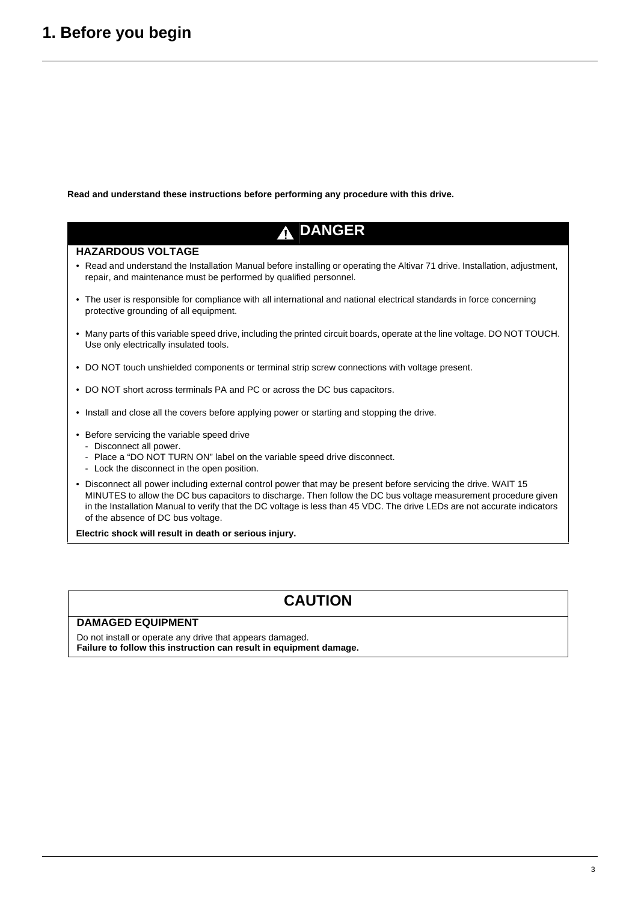## <span id="page-2-0"></span>**1. Before you begin**

**Read and understand these instructions before performing any procedure with this drive.**

## **DANGER**

### **HAZARDOUS VOLTAGE**

- Read and understand the Installation Manual before installing or operating the Altivar 71 drive. Installation, adjustment, repair, and maintenance must be performed by qualified personnel.
- The user is responsible for compliance with all international and national electrical standards in force concerning protective grounding of all equipment.
- Many parts of this variable speed drive, including the printed circuit boards, operate at the line voltage. DO NOT TOUCH. Use only electrically insulated tools.
- DO NOT touch unshielded components or terminal strip screw connections with voltage present.
- DO NOT short across terminals PA and PC or across the DC bus capacitors.
- Install and close all the covers before applying power or starting and stopping the drive.
- Before servicing the variable speed drive
	- Disconnect all power.
	- Place a "DO NOT TURN ON" label on the variable speed drive disconnect.
	- Lock the disconnect in the open position.
- Disconnect all power including external control power that may be present before servicing the drive. WAIT 15 MINUTES to allow the DC bus capacitors to discharge. Then follow the DC bus voltage measurement procedure given in the Installation Manual to verify that the DC voltage is less than 45 VDC. The drive LEDs are not accurate indicators of the absence of DC bus voltage.

**Electric shock will result in death or serious injury.**

## **CAUTION**

#### **DAMAGED EQUIPMENT**

Do not install or operate any drive that appears damaged. **Failure to follow this instruction can result in equipment damage.**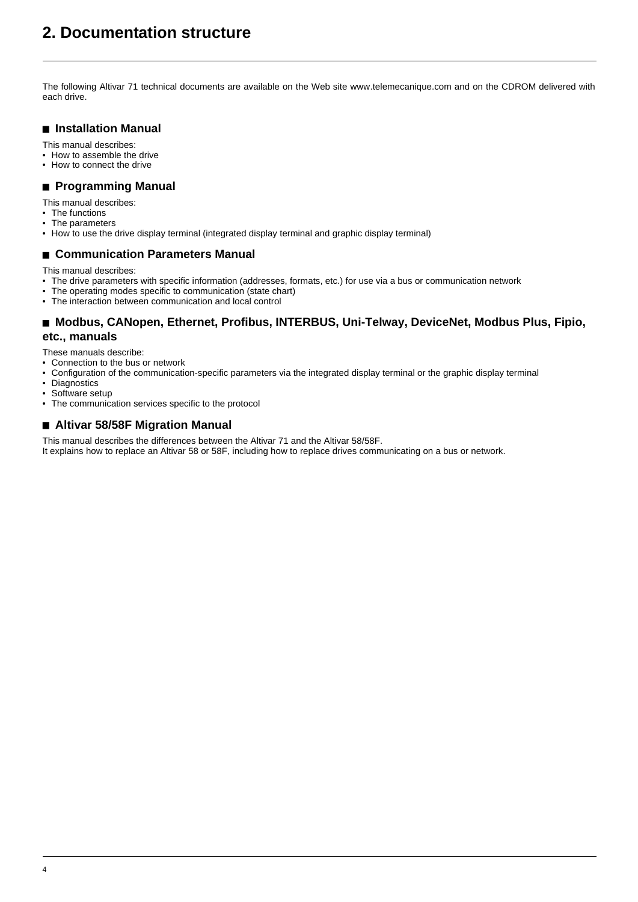## <span id="page-3-0"></span>**2. Documentation structure**

The following Altivar 71 technical documents are available on the Web site www.telemecanique.com and on the CDROM delivered with each drive.

### $\blacksquare$  Installation Manual

This manual describes:

- How to assemble the drive
- How to connect the drive

#### **Programming Manual**

- This manual describes:
- The functions
- The parameters
- How to use the drive display terminal (integrated display terminal and graphic display terminal)

#### ■ Communication Parameters Manual

This manual describes:

- The drive parameters with specific information (addresses, formats, etc.) for use via a bus or communication network
- The operating modes specific to communication (state chart)
- The interaction between communication and local control

### ■ Modbus, CANopen, Ethernet, Profibus, INTERBUS, Uni-Telway, DeviceNet, Modbus Plus, Fipio, **etc., manuals**

These manuals describe:

- Connection to the bus or network
- Configuration of the communication-specific parameters via the integrated display terminal or the graphic display terminal
- Diagnostics
- Software setup<br>• The communica
- The communication services specific to the protocol

### ■ Altivar 58/58F Migration Manual

This manual describes the differences between the Altivar 71 and the Altivar 58/58F. It explains how to replace an Altivar 58 or 58F, including how to replace drives communicating on a bus or network.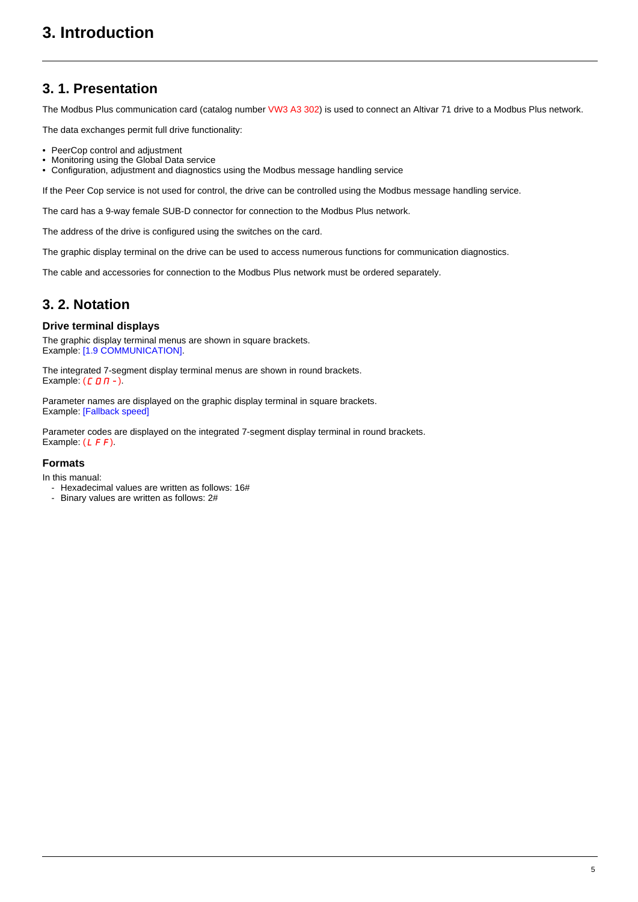## <span id="page-4-1"></span><span id="page-4-0"></span>**3. 1. Presentation**

The Modbus Plus communication card (catalog number VW3 A3 302) is used to connect an Altivar 71 drive to a Modbus Plus network.

The data exchanges permit full drive functionality:

- PeerCop control and adjustment
- Monitoring using the Global Data service
- Configuration, adjustment and diagnostics using the Modbus message handling service

If the Peer Cop service is not used for control, the drive can be controlled using the Modbus message handling service.

The card has a 9-way female SUB-D connector for connection to the Modbus Plus network.

The address of the drive is configured using the switches on the card.

The graphic display terminal on the drive can be used to access numerous functions for communication diagnostics.

The cable and accessories for connection to the Modbus Plus network must be ordered separately.

### <span id="page-4-2"></span>**3. 2. Notation**

### **Drive terminal displays**

The graphic display terminal menus are shown in square brackets. Example: [1.9 COMMUNICATION].

The integrated 7-segment display terminal menus are shown in round brackets. Example:  $(L \Box \Pi -)$ .

Parameter names are displayed on the graphic display terminal in square brackets. Example: [Fallback speed]

Parameter codes are displayed on the integrated 7-segment display terminal in round brackets. Example:  $(LFF)$ .

### **Formats**

In this manual:

- Hexadecimal values are written as follows: 16#
- Binary values are written as follows: 2#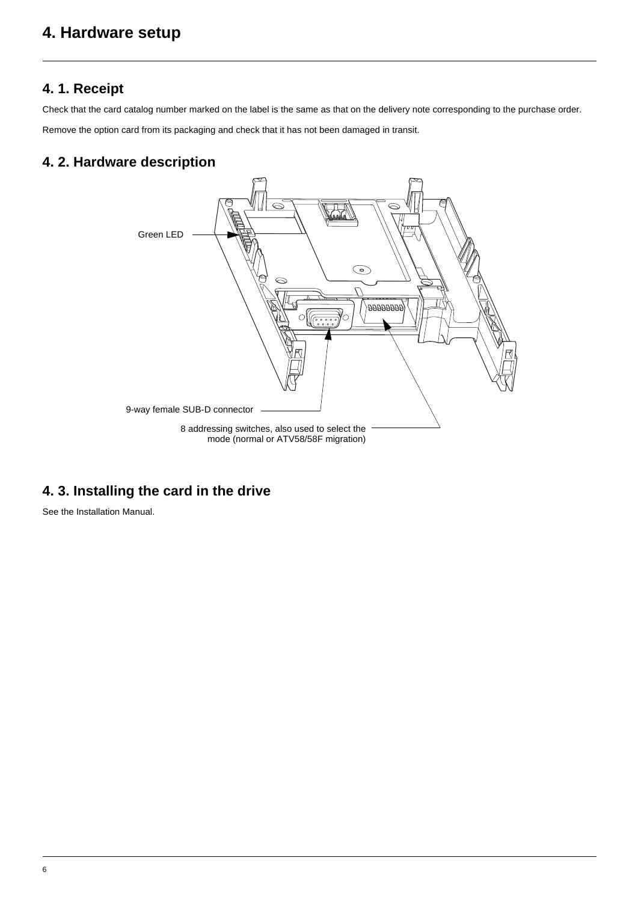## <span id="page-5-0"></span>**4. Hardware setup**

### <span id="page-5-1"></span>**4. 1. Receipt**

Check that the card catalog number marked on the label is the same as that on the delivery note corresponding to the purchase order. Remove the option card from its packaging and check that it has not been damaged in transit.

### <span id="page-5-2"></span>**4. 2. Hardware description**



## <span id="page-5-3"></span>**4. 3. Installing the card in the drive**

See the Installation Manual.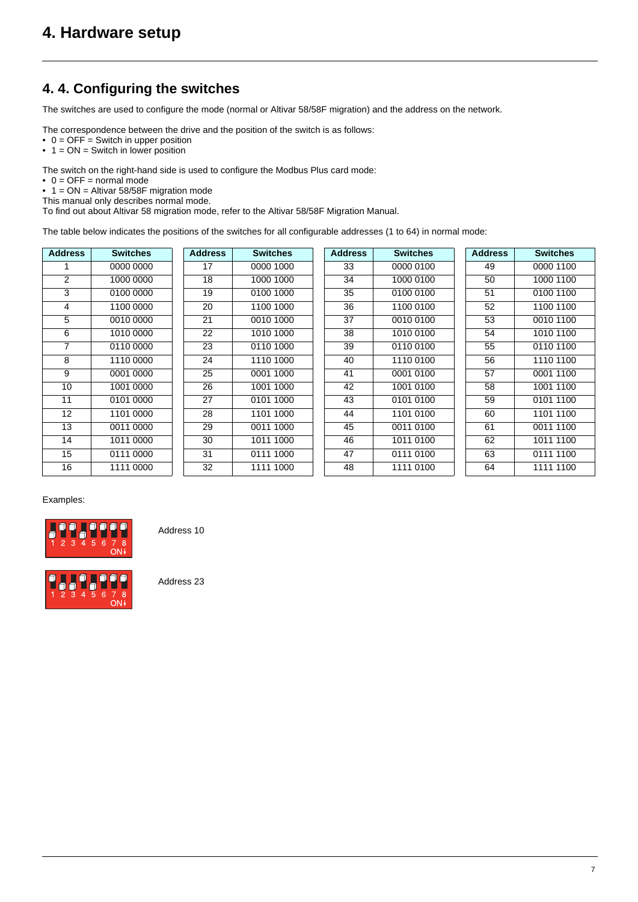## <span id="page-6-0"></span>**4. 4. Configuring the switches**

The switches are used to configure the mode (normal or Altivar 58/58F migration) and the address on the network.

The correspondence between the drive and the position of the switch is as follows:

- 0 = OFF = Switch in upper position
- $\bullet$  1 = ON = Switch in lower position

The switch on the right-hand side is used to configure the Modbus Plus card mode:

 $\bullet$  0 = OFF = normal mode

• 1 = ON = Altivar 58/58F migration mode

This manual only describes normal mode.

To find out about Altivar 58 migration mode, refer to the Altivar 58/58F Migration Manual.

The table below indicates the positions of the switches for all configurable addresses (1 to 64) in normal mode:

| <b>Address</b>  | <b>Switches</b> | <b>Address</b> | <b>Switches</b> | <b>Address</b> | <b>Switches</b> | <b>Address</b> | <b>Switches</b> |
|-----------------|-----------------|----------------|-----------------|----------------|-----------------|----------------|-----------------|
|                 | 0000 0000       | 17             | 0000 1000       | 33             | 0000 0100       | 49             | 0000 1100       |
| $\overline{2}$  | 1000 0000       | 18             | 1000 1000       | 34             | 1000 0100       | 50             | 1000 1100       |
| 3               | 0100 0000       | 19             | 0100 1000       | 35             | 0100 0100       | 51             | 0100 1100       |
| 4               | 1100 0000       | 20             | 1100 1000       | 36             | 1100 0100       | 52             | 1100 1100       |
| 5               | 0010 0000       | 21             | 0010 1000       | 37             | 0010 0100       | 53             | 0010 1100       |
| 6               | 1010 0000       | 22             | 1010 1000       | 38             | 1010 0100       | 54             | 1010 1100       |
| $\overline{7}$  | 0110 0000       | 23             | 0110 1000       | 39             | 0110 0100       | 55             | 0110 1100       |
| 8               | 1110 0000       | 24             | 1110 1000       | 40             | 1110 0100       | 56             | 1110 1100       |
| 9               | 0001 0000       | 25             | 0001 1000       | 41             | 0001 0100       | 57             | 0001 1100       |
| 10              | 1001 0000       | 26             | 1001 1000       | 42             | 1001 0100       | 58             | 1001 1100       |
| 11              | 0101 0000       | 27             | 0101 1000       | 43             | 0101 0100       | 59             | 0101 1100       |
| 12 <sup>2</sup> | 1101 0000       | 28             | 1101 1000       | 44             | 1101 0100       | 60             | 1101 1100       |
| 13              | 0011 0000       | 29             | 0011 1000       | 45             | 0011 0100       | 61             | 0011 1100       |
| 14              | 1011 0000       | 30             | 1011 1000       | 46             | 1011 0100       | 62             | 1011 1100       |
| 15              | 0111 0000       | 31             | 0111 1000       | 47             | 0111 0100       | 63             | 0111 1100       |
| 16              | 1111 0000       | 32             | 1111 1000       | 48             | 1111 0100       | 64             | 1111 1100       |

Examples:



Address 10

Address 23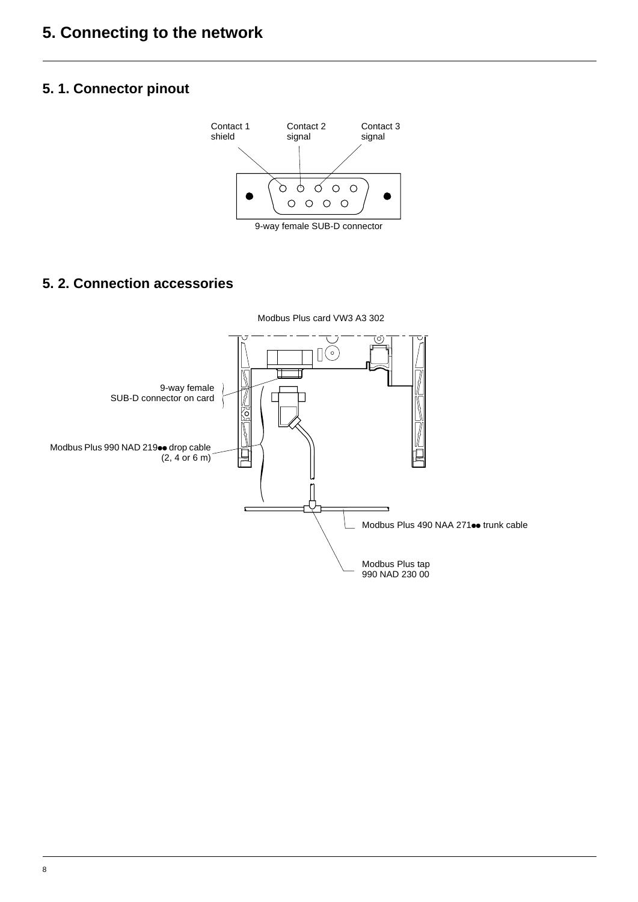## <span id="page-7-1"></span><span id="page-7-0"></span>**5. 1. Connector pinout**



9-way female SUB-D connector

## <span id="page-7-2"></span>**5. 2. Connection accessories**

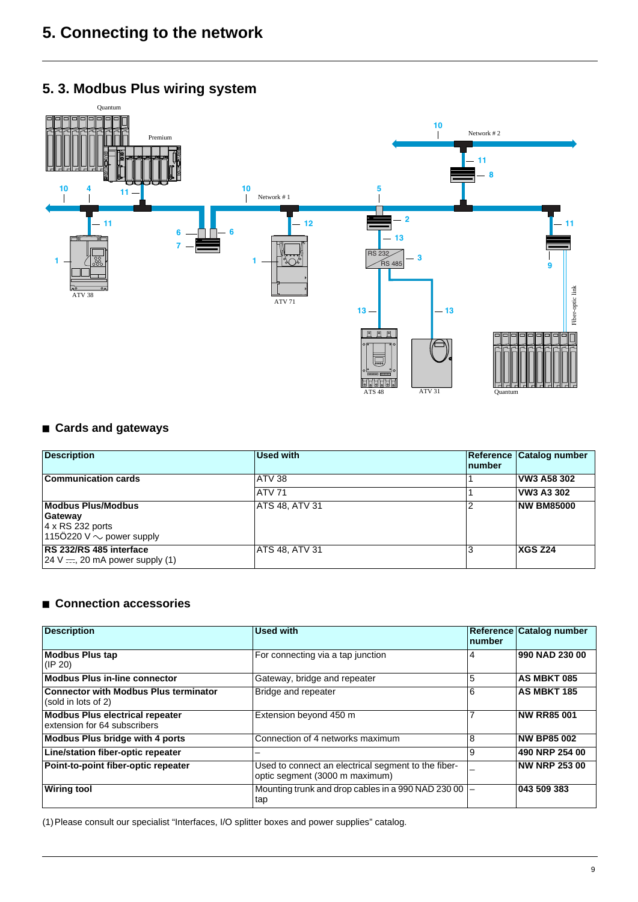## <span id="page-8-0"></span>**5. 3. Modbus Plus wiring system**



### ■ Cards and gateways

| <b>Description</b>                                                                                | <b>Used with</b>      | <b>number</b> | Reference Catalog number |
|---------------------------------------------------------------------------------------------------|-----------------------|---------------|--------------------------|
| <b>Communication cards</b>                                                                        | ATV 38                |               | VW3 A58 302              |
|                                                                                                   | <b>ATV 71</b>         |               | VW3 A3 302               |
| <b>Modbus Plus/Modbus</b><br>Gateway<br>$ 4 \times$ RS 232 ports<br>1150220 V $\sim$ power supply | <b>ATS 48, ATV 31</b> |               | <b>NW BM85000</b>        |
| RS 232/RS 485 interface<br>$24 V = 20$ mA power supply (1)                                        | ATS 48, ATV 31        |               | <b>XGS Z24</b>           |

### ■ Connection accessories

| <b>Description</b>                                                     | <b>Used with</b>                                                                      | number | Reference Catalog number |
|------------------------------------------------------------------------|---------------------------------------------------------------------------------------|--------|--------------------------|
| <b>Modbus Plus tap</b><br>$(\mathsf{IP} 20)$                           | For connecting via a tap junction                                                     | 4      | 990 NAD 230 00           |
| <b>Modbus Plus in-line connector</b>                                   | Gateway, bridge and repeater                                                          | 5      | <b>AS MBKT 085</b>       |
| <b>Connector with Modbus Plus terminator</b><br>(sold in lots of 2)    | Bridge and repeater                                                                   | 6      | <b>AS MBKT 185</b>       |
| <b>Modbus Plus electrical repeater</b><br>extension for 64 subscribers | Extension beyond 450 m                                                                |        | <b>NW RR85 001</b>       |
| <b>Modbus Plus bridge with 4 ports</b>                                 | Connection of 4 networks maximum                                                      | 8      | <b>NW BP85 002</b>       |
| Line/station fiber-optic repeater                                      |                                                                                       | 9      | 490 NRP 254 00           |
| Point-to-point fiber-optic repeater                                    | Used to connect an electrical segment to the fiber-<br>optic segment (3000 m maximum) |        | <b>NW NRP 253 00</b>     |
| <b>Wiring tool</b>                                                     | Mounting trunk and drop cables in a 990 NAD 230 00<br>tap                             |        | 043 509 383              |

(1)Please consult our specialist "Interfaces, I/O splitter boxes and power supplies" catalog.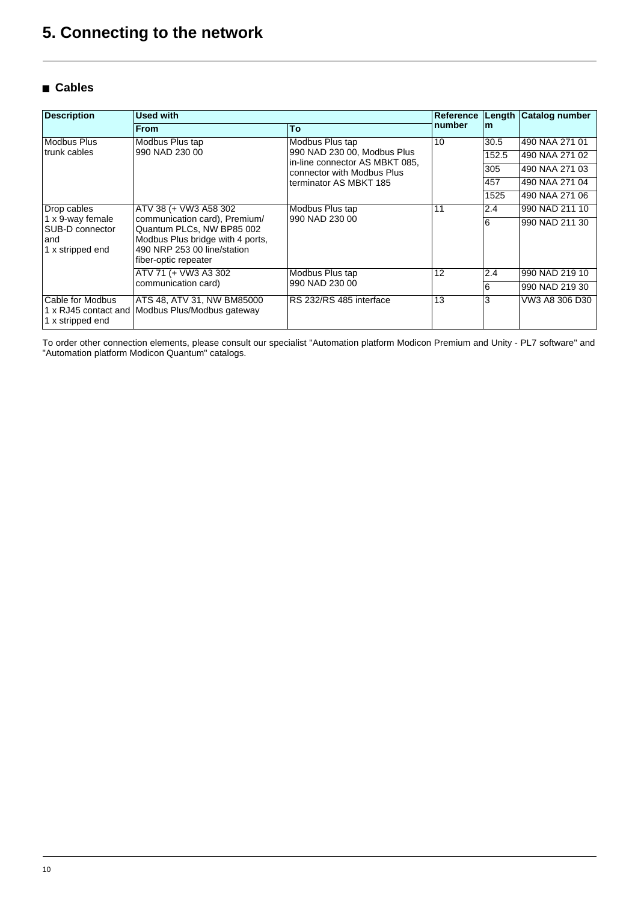### ■ Cables

| <b>Description</b>                                             | <b>Used with</b>                                                                                                                                      |                                                               |        | Length | Catalog number |
|----------------------------------------------------------------|-------------------------------------------------------------------------------------------------------------------------------------------------------|---------------------------------------------------------------|--------|--------|----------------|
|                                                                | <b>From</b>                                                                                                                                           | To                                                            | number | m      |                |
| <b>Modbus Plus</b>                                             | Modbus Plus tap                                                                                                                                       | Modbus Plus tap                                               | 10     | 30.5   | 490 NAA 271 01 |
| trunk cables                                                   | 990 NAD 230 00                                                                                                                                        | 990 NAD 230 00, Modbus Plus<br>in-line connector AS MBKT 085. |        | 152.5  | 490 NAA 271 02 |
|                                                                |                                                                                                                                                       | connector with Modbus Plus                                    |        | 305    | 490 NAA 271 03 |
|                                                                |                                                                                                                                                       | terminator AS MBKT 185                                        |        | 457    | 490 NAA 271 04 |
|                                                                |                                                                                                                                                       |                                                               |        | 1525   | 490 NAA 271 06 |
| Drop cables                                                    | ATV 38 (+ VW3 A58 302                                                                                                                                 | Modbus Plus tap                                               | 11     | 2.4    | 990 NAD 211 10 |
| 1 x 9-way female<br>SUB-D connector<br>and<br>1 x stripped end | communication card), Premium/<br>Quantum PLCs, NW BP85 002<br>Modbus Plus bridge with 4 ports,<br>490 NRP 253 00 line/station<br>fiber-optic repeater | 990 NAD 230 00                                                |        | 6      | 990 NAD 211 30 |
|                                                                | ATV 71 (+ VW3 A3 302                                                                                                                                  | Modbus Plus tap                                               | 12     | 2.4    | 990 NAD 219 10 |
|                                                                | communication card)                                                                                                                                   | 990 NAD 230 00                                                |        | 6      | 990 NAD 219 30 |
| Cable for Modbus<br>1 x RJ45 contact and<br>1 x stripped end   | ATS 48, ATV 31, NW BM85000<br>Modbus Plus/Modbus gateway                                                                                              | RS 232/RS 485 interface                                       | 13     | 3      | VW3 A8 306 D30 |

To order other connection elements, please consult our specialist "Automation platform Modicon Premium and Unity - PL7 software" and "Automation platform Modicon Quantum" catalogs.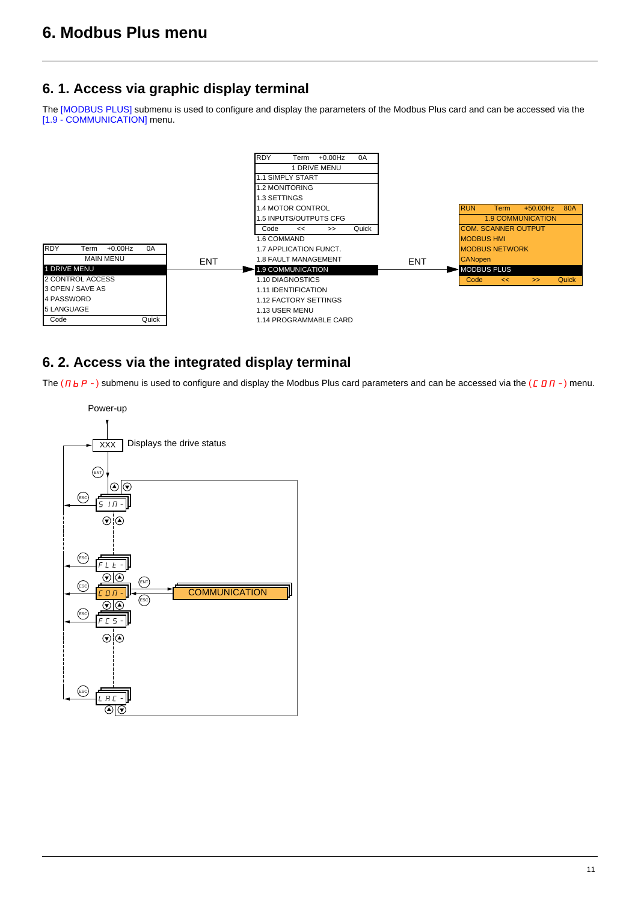## <span id="page-10-1"></span><span id="page-10-0"></span>**6. 1. Access via graphic display terminal**

The [MODBUS PLUS] submenu is used to configure and display the parameters of the Modbus Plus card and can be accessed via the [1.9 - COMMUNICATION] menu.



## <span id="page-10-2"></span>**6. 2. Access via the integrated display terminal**

The ( $\overline{\Pi}$  b  $\overline{P}$  -) submenu is used to configure and display the Modbus Plus card parameters and can be accessed via the ( $\overline{C}$   $\overline{B}$   $\overline{R}$  -) menu.

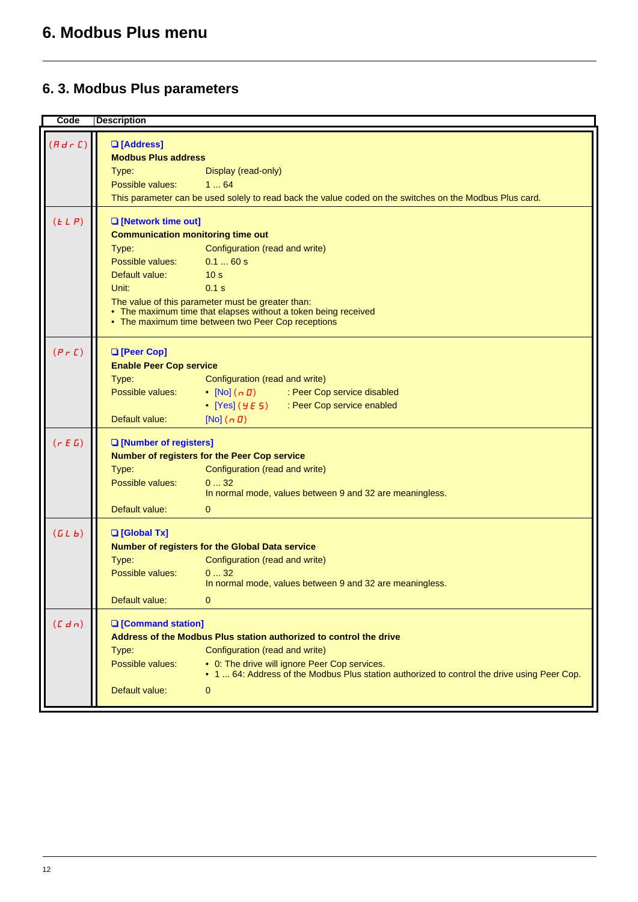## <span id="page-11-0"></span>**6. 3. Modbus Plus parameters**

### **Code Description**

| $(Hd \rvert L)$    | <b>Q</b> [Address]                       |                                                                                                                                              |
|--------------------|------------------------------------------|----------------------------------------------------------------------------------------------------------------------------------------------|
|                    | <b>Modbus Plus address</b>               |                                                                                                                                              |
|                    | Type:                                    | Display (read-only)                                                                                                                          |
|                    | Possible values:                         | 164                                                                                                                                          |
|                    |                                          | This parameter can be used solely to read back the value coded on the switches on the Modbus Plus card.                                      |
| (ELP)              | <b>Q</b> [Network time out]              |                                                                                                                                              |
|                    | <b>Communication monitoring time out</b> |                                                                                                                                              |
|                    | Type:                                    | Configuration (read and write)                                                                                                               |
|                    | Possible values:                         | 0.160 s                                                                                                                                      |
|                    | Default value:                           | 10 <sub>s</sub>                                                                                                                              |
|                    | Unit:                                    | 0.1 s                                                                                                                                        |
|                    |                                          | The value of this parameter must be greater than:                                                                                            |
|                    |                                          | • The maximum time that elapses without a token being received                                                                               |
|                    |                                          | • The maximum time between two Peer Cop receptions                                                                                           |
| $(P \cap E)$       | <b>Q</b> [Peer Cop]                      |                                                                                                                                              |
|                    | <b>Enable Peer Cop service</b>           |                                                                                                                                              |
|                    | Type:                                    | Configuration (read and write)                                                                                                               |
|                    | Possible values:                         | • [No] (n D) : Peer Cop service disabled                                                                                                     |
|                    |                                          | • [Yes] ( <i>YE</i> 5) Peer Cop service enabled                                                                                              |
|                    | Default value:                           | $[No]$ $(n 0)$                                                                                                                               |
| (r E G)            | <b>Q</b> [Number of registers]           |                                                                                                                                              |
|                    |                                          | Number of registers for the Peer Cop service                                                                                                 |
|                    | Type:                                    | Configuration (read and write)                                                                                                               |
|                    | Possible values:                         | 032                                                                                                                                          |
|                    |                                          | In normal mode, values between 9 and 32 are meaningless.                                                                                     |
|                    | Default value:                           | $\mathbf{0}$                                                                                                                                 |
| (LL <sub>b</sub> ) | <b>Q</b> [Global Tx]                     |                                                                                                                                              |
|                    |                                          | Number of registers for the Global Data service                                                                                              |
|                    | Type:                                    | Configuration (read and write)                                                                                                               |
|                    | Possible values:                         | 032                                                                                                                                          |
|                    |                                          | In normal mode, values between 9 and 32 are meaningless.                                                                                     |
|                    | Default value:                           | $\mathbf 0$                                                                                                                                  |
| (L d n)            | <b>Q</b> [Command station]               |                                                                                                                                              |
|                    |                                          | Address of the Modbus Plus station authorized to control the drive                                                                           |
|                    | Type:                                    | Configuration (read and write)                                                                                                               |
|                    | Possible values:                         | • 0: The drive will ignore Peer Cop services.<br>• 1  64: Address of the Modbus Plus station authorized to control the drive using Peer Cop. |
|                    | Default value:                           | 0                                                                                                                                            |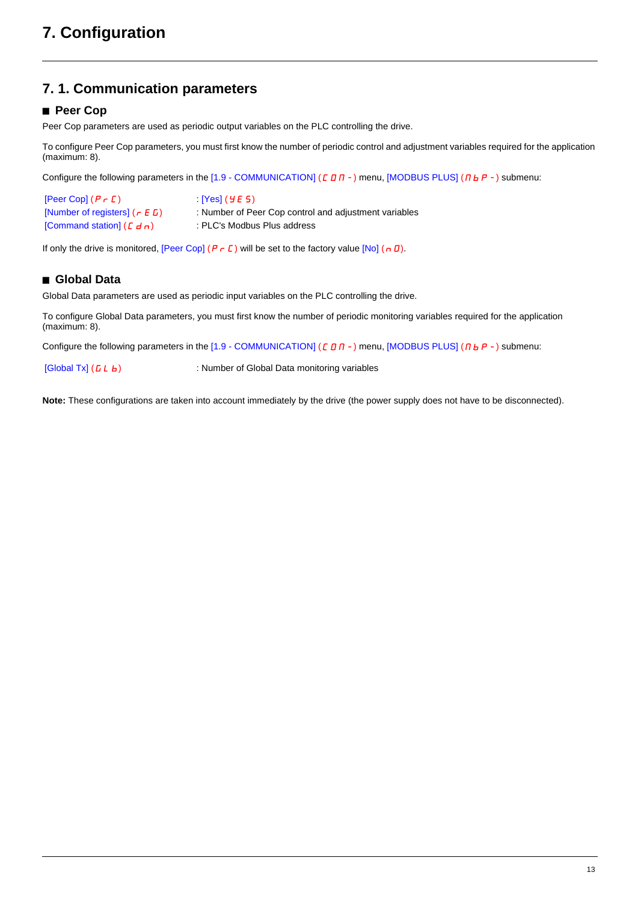## <span id="page-12-1"></span><span id="page-12-0"></span>**7. 1. Communication parameters**

### ■ Peer Cop

Peer Cop parameters are used as periodic output variables on the PLC controlling the drive.

To configure Peer Cop parameters, you must first know the number of periodic control and adjustment variables required for the application (maximum: 8).

Configure the following parameters in the  $[1.9 - \text{COMMUNICATION}]$  ( $\text{C}$  D  $\text{H}$  -) menu, [MODBUS PLUS] ( $\text{H}$  b  $\text{H}$  -) submenu:

| $[Peer Cop]$ $(P \rightharpoondown C)$ | [Yes] ( 9E 5)                                         |
|----------------------------------------|-------------------------------------------------------|
| [Number of registers] $(r E D)$        | : Number of Peer Cop control and adjustment variables |
| [Command station] $(E d n)$            | : PLC's Modbus Plus address                           |

If only the drive is monitored, [Peer Cop] ( $P \rvert C$ ) will be set to the factory value [No] ( $\rho$  D).

### $\blacksquare$  **Global Data**

Global Data parameters are used as periodic input variables on the PLC controlling the drive.

To configure Global Data parameters, you must first know the number of periodic monitoring variables required for the application (maximum: 8).

Configure the following parameters in the  $[1.9$  - COMMUNICATION] ( $[CD \Pi -)$  menu, [MODBUS PLUS] ( $\Pi b P -$ ) submenu:

[Global Tx] ( $L L b$ ) : Number of Global Data monitoring variables

**Note:** These configurations are taken into account immediately by the drive (the power supply does not have to be disconnected).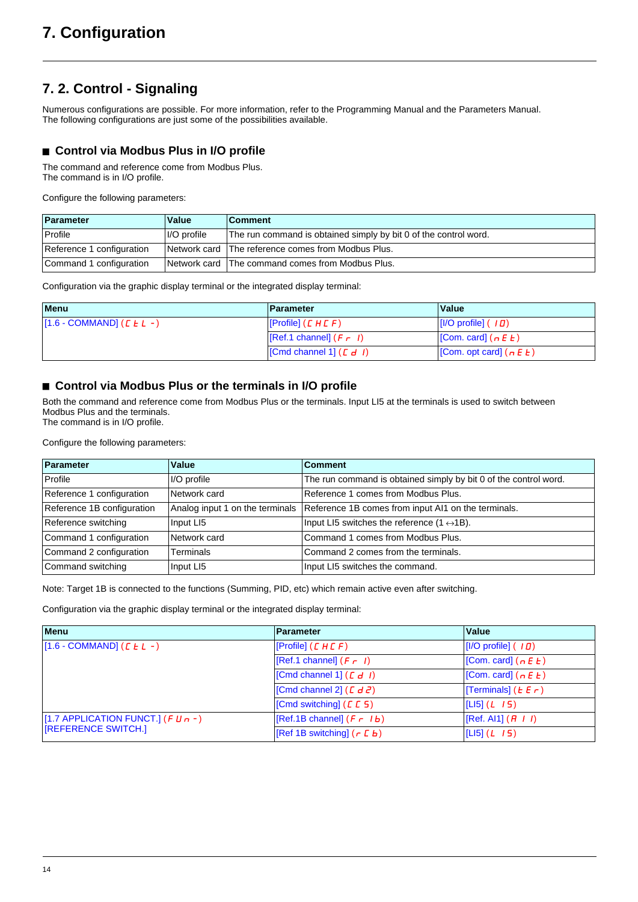## <span id="page-13-0"></span>**7. 2. Control - Signaling**

Numerous configurations are possible. For more information, refer to the Programming Manual and the Parameters Manual. The following configurations are just some of the possibilities available.

### ■ Control via Modbus Plus in I/O profile

The command and reference come from Modbus Plus. The command is in I/O profile.

Configure the following parameters:

| Parameter                 | Value       | ∣Comment                                                         |
|---------------------------|-------------|------------------------------------------------------------------|
| Profile                   | I/O profile | The run command is obtained simply by bit 0 of the control word. |
| Reference 1 configuration |             | Network card The reference comes from Modbus Plus.               |
| Command 1 configuration   |             | Network card The command comes from Modbus Plus.                 |

Configuration via the graphic display terminal or the integrated display terminal:

| <b>Menu</b>                   | Parameter                                                                   | Value                                                     |
|-------------------------------|-----------------------------------------------------------------------------|-----------------------------------------------------------|
| $[1.6 - COMMAND]$ ( $E L -$ ) | $[$ [Profile] $(E H E F)$                                                   | $\vert \vert$ [I/O profile] ( $\vert \bm{\mathit{\Pi}}$ ) |
|                               | $\left  \begin{bmatrix} \text{Ref.1 channel} \end{bmatrix} (F - I) \right $ | $ [Com. card]$ ( $n \in E$ )                              |
|                               | $\vert$ [Cmd channel 1] ( $E d$ <i>I</i> )                                  | [Com. opt card] $(n E E)$                                 |

### ■ Control via Modbus Plus or the terminals in I/O profile

Both the command and reference come from Modbus Plus or the terminals. Input LI5 at the terminals is used to switch between Modbus Plus and the terminals. The command is in I/O profile.

Configure the following parameters:

| Parameter                  | Value        | <b>Comment</b>                                                                      |
|----------------------------|--------------|-------------------------------------------------------------------------------------|
| Profile                    | I/O profile  | The run command is obtained simply by bit 0 of the control word.                    |
| Reference 1 configuration  | Network card | Reference 1 comes from Modbus Plus.                                                 |
| Reference 1B configuration |              | Analog input 1 on the terminals Reference 1B comes from input Al1 on the terminals. |
| Reference switching        | Input LI5    | Input LI5 switches the reference $(1 \leftrightarrow 1B)$ .                         |
| Command 1 configuration    | Network card | Command 1 comes from Modbus Plus.                                                   |
| Command 2 configuration    | Terminals    | Command 2 comes from the terminals.                                                 |
| Command switching          | Input LI5    | Input LI5 switches the command.                                                     |

Note: Target 1B is connected to the functions (Summing, PID, etc) which remain active even after switching.

Configuration via the graphic display terminal or the integrated display terminal:

| <b>Menu</b>                            | <b>Parameter</b>                  | Value                        |
|----------------------------------------|-----------------------------------|------------------------------|
| $[1.6 - COMMAND]$ ( $E L -$ )          | [ $Problem (C H C F)$ ]           | $[1/O$ profile] $(10)$       |
|                                        | $\vert$ [Ref.1 channel] $(F - I)$ | [Com. card] $(n E E)$        |
|                                        | [Cmd channel 1] (E d I)           | [Com. card] $(n E E)$        |
|                                        | [Cmd channel 2] (E d2)            | [Terminals] ( $E \in \neg$ ) |
|                                        | [Cmd switching] $(E E 5)$         | $[L 5] (L \mid I5)$          |
| [1.7 APPLICATION FUNCT.] ( $F U n -$ ) | $[Ref.1B channel] (F - 1b)$       | [Ref. Al1] $(H I I)$         |
| <b>IREFERENCE SWITCH.]</b>             | [Ref 1B switching] $(r L b)$      | L5] (L 15)                   |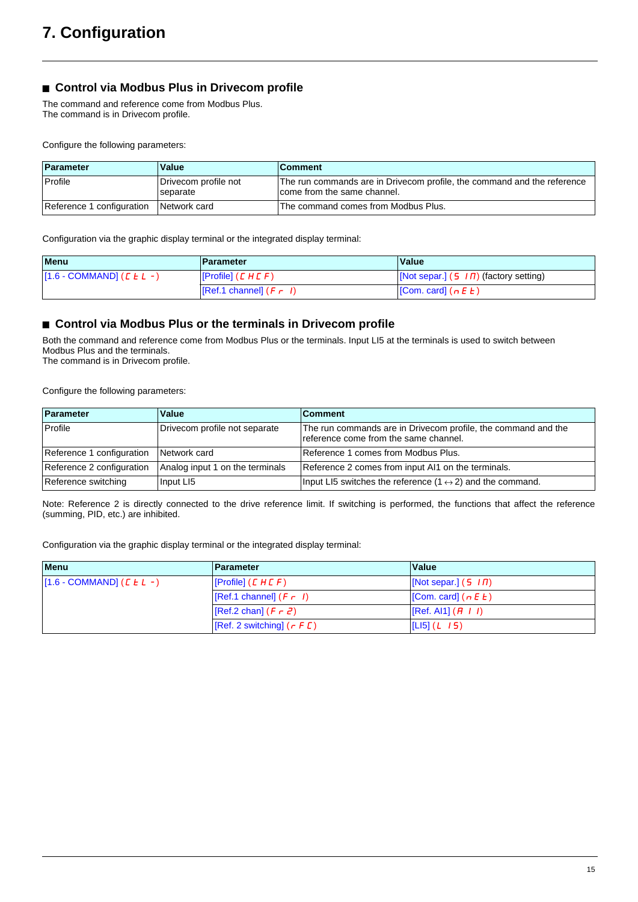### ■ Control via Modbus Plus in Drivecom profile

The command and reference come from Modbus Plus. The command is in Drivecom profile.

Configure the following parameters:

| Parameter                 | Value                            | <b>Comment</b>                                                                                         |
|---------------------------|----------------------------------|--------------------------------------------------------------------------------------------------------|
| Profile                   | Drivecom profile not<br>separate | The run commands are in Drivecom profile, the command and the reference<br>come from the same channel. |
| Reference 1 configuration | Network card                     | The command comes from Modbus Plus.                                                                    |

Configuration via the graphic display terminal or the integrated display terminal:

| <b>Menu</b>                   | <b>Parameter</b>          | Value                                                   |
|-------------------------------|---------------------------|---------------------------------------------------------|
| $[1.6 - COMMAND]$ ( $E L -$ ) | [Problem (EHEF)]          | $\lfloor$ [Not separ.] (5 $\sqrt{1}$ / factory setting) |
|                               | $[Ref.1 channel] (F - I)$ | $\vert$ [Com. card] $(n \in E)$                         |

### ■ Control via Modbus Plus or the terminals in Drivecom profile

Both the command and reference come from Modbus Plus or the terminals. Input LI5 at the terminals is used to switch between Modbus Plus and the terminals. The command is in Drivecom profile.

Configure the following parameters:

| Parameter                 | Value                           | <b>Comment</b>                                                                                         |
|---------------------------|---------------------------------|--------------------------------------------------------------------------------------------------------|
| Profile                   | Drivecom profile not separate   | The run commands are in Drivecom profile, the command and the<br>reference come from the same channel. |
| Reference 1 configuration | Network card                    | Reference 1 comes from Modbus Plus.                                                                    |
| Reference 2 configuration | Analog input 1 on the terminals | Reference 2 comes from input AI1 on the terminals.                                                     |
| Reference switching       | Input LI5                       | Input LI5 switches the reference $(1 \leftrightarrow 2)$ and the command.                              |

Note: Reference 2 is directly connected to the drive reference limit. If switching is performed, the functions that affect the reference (summing, PID, etc.) are inhibited.

Configuration via the graphic display terminal or the integrated display terminal:

| <b>Menu</b>                                            | <b>Parameter</b>                      | <b>Value</b>                                                       |  |
|--------------------------------------------------------|---------------------------------------|--------------------------------------------------------------------|--|
| $\left[1.6 - \text{COMMAND}\right]$ ( <i>C E L -</i> ) | [Prefile] (E H E F)                   | $\vert$ [Not separ.] (5 <i>III</i> )                               |  |
|                                                        | $[Ref.1 channel] (F - I)$             | $[Com. card]$ ( $n \in E$ )                                        |  |
|                                                        | $\vert$ [Ref.2 chan] ( <i>F r 2</i> ) | $\left  \left[ \text{Ref. Al1} \right] \left( H I \right) \right $ |  |
|                                                        | [Ref. 2 switching] (r F C)            | $ [L 5] (L \ 15)$                                                  |  |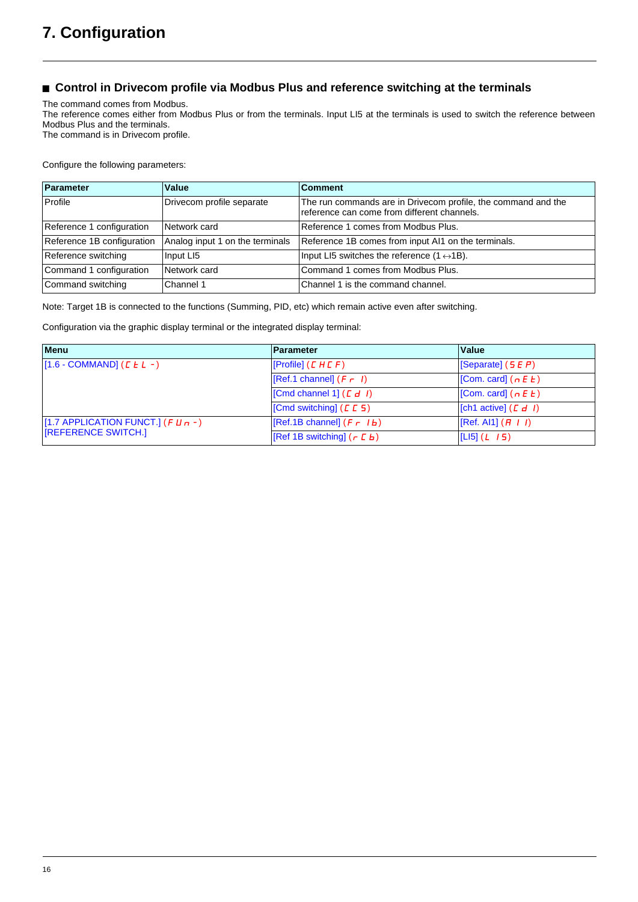### ■ Control in Drivecom profile via Modbus Plus and reference switching at the terminals

The command comes from Modbus.

The reference comes either from Modbus Plus or from the terminals. Input LI5 at the terminals is used to switch the reference between Modbus Plus and the terminals.

The command is in Drivecom profile.

Configure the following parameters:

| Parameter                  | Value                           | <b>Comment</b>                                                                                               |
|----------------------------|---------------------------------|--------------------------------------------------------------------------------------------------------------|
| Profile                    | Drivecom profile separate       | The run commands are in Drivecom profile, the command and the<br>reference can come from different channels. |
| Reference 1 configuration  | Network card                    | Reference 1 comes from Modbus Plus.                                                                          |
| Reference 1B configuration | Analog input 1 on the terminals | Reference 1B comes from input AI1 on the terminals.                                                          |
| Reference switching        | Input LI5                       | Input LI5 switches the reference $(1 \leftrightarrow 1B)$ .                                                  |
| Command 1 configuration    | Network card                    | Command 1 comes from Modbus Plus.                                                                            |
| Command switching          | Channel 1                       | Channel 1 is the command channel.                                                                            |

Note: Target 1B is connected to the functions (Summing, PID, etc) which remain active even after switching.

Configuration via the graphic display terminal or the integrated display terminal:

| <b>Menu</b>                              | Parameter                   | Value                       |
|------------------------------------------|-----------------------------|-----------------------------|
| $[1.6 - COMMAND]$ ( $E L -$ )            | [Profile] (L H L F)         | $ $ [Separate] (5 E P)      |
|                                          | $[Ref.1 channel] (F - I)$   | $[Com. card]$ ( $n \in E$ ) |
|                                          | [Cmd channel 1] (E d I)     | [Com. card] $(n E E)$       |
|                                          | [Cmd switching] $(L E 5)$   | [ch1 active] $(E d I)$      |
| [1.7 APPLICATION FUNCT.] ( $F U_{n-1}$ ) | $[Ref.1B channel] (F - Ib)$ | [Ref. A11] (H I I)          |
| <b>IREFERENCE SWITCH.]</b>               | [Ref 1B switching] (r L b)  | [LI5] ( <i>L 1</i> 5)       |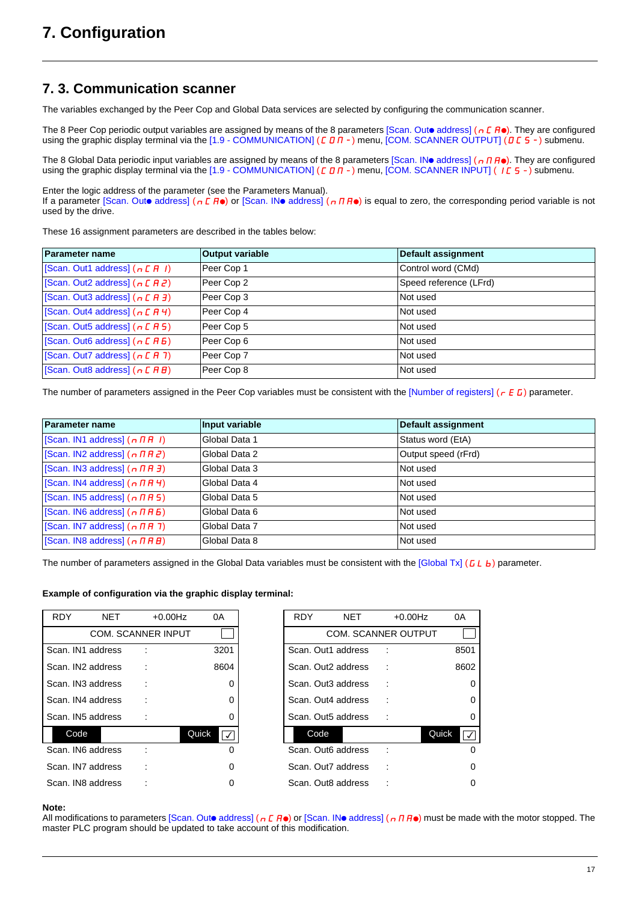### <span id="page-16-0"></span>**7. 3. Communication scanner**

The variables exchanged by the Peer Cop and Global Data services are selected by configuring the communication scanner.

The 8 Peer Cop periodic output variables are assigned by means of the 8 parameters  $[Scan. Outo$  address] ( $nE$   $\vec{H}$ o). They are configured using the graphic display terminal via the [1.9 - COMMUNICATION] ( $C$   $D$  $n$  -) menu, [COM. SCANNER OUTPUT] ( $D$  $C$  5 -) submenu.

The 8 Global Data periodic input variables are assigned by means of the 8 parameters [Scan. INo address] ( $n \ln 0$ ). They are configured using the graphic display terminal via the [1.9 - COMMUNICATION] ( $C$   $D$   $n$  -) menu, [COM. SCANNER INPUT] ( $I$  $C$  5 -) submenu.

Enter the logic address of the parameter (see the Parameters Manual).

If a parameter [Scan. Outo address] ( $nE$   $\theta$ ) or [Scan. INo address] ( $nH\theta$ ) is equal to zero, the corresponding period variable is not used by the drive.

These 16 assignment parameters are described in the tables below:

| <b>Parameter name</b>            | <b>Output variable</b> | Default assignment     |
|----------------------------------|------------------------|------------------------|
| Scan. Out1 address] $(n E H I)$  | Peer Cop 1             | Control word (CMd)     |
| [Scan. Out2 address] $(n E H Z)$ | Peer Cop 2             | Speed reference (LFrd) |
| [Scan. Out3 address] $(n E H J)$ | Peer Cop 3             | Not used               |
| [Scan. Out4 address] $(n E H 4)$ | Peer Cop 4             | Not used               |
| Scan. Out5 address] $(n E H 5)$  | Peer Cop 5             | Not used               |
| Scan. Out6 address] $(n E H B)$  | Peer Cop 6             | Not used               |
| [Scan. Out7 address] $(n E H 7)$ | Peer Cop 7             | Not used               |
| [Scan. Out8 address] $(n E H B)$ | Peer Cop 8             | Not used               |

The number of parameters assigned in the Peer Cop variables must be consistent with the [Number of registers] ( $r \in G$ ) parameter.

| <b>Parameter name</b>                                       | Input variable | <b>Default assignment</b> |
|-------------------------------------------------------------|----------------|---------------------------|
| Scan. IN1 address] $(n \nmid n + 1)$                        | Global Data 1  | Status word (EtA)         |
| Scan. IN2 address] $(n \Pi B 2)$                            | Global Data 2  | Output speed (rFrd)       |
| Scan. IN3 address] $(n \nmid n \nmid 3)$                    | Global Data 3  | Not used                  |
| Scan. IN4 address $(n \pi H 4)$                             | Global Data 4  | Not used                  |
| Scan. IN5 address] $(n \nmid n \nmid 5)$                    | Global Data 5  | Not used                  |
| $ $ [Scan. IN6 address] $($ $\sigma$ $\pi$ $\pi$ $\sigma$ ) | Global Data 6  | Not used                  |
| Scan. IN7 address] $(n \n  HH 7)$                           | Global Data 7  | Not used                  |
| $\vert$ [Scan. IN8 address] $(n \Pi H B)$                   | Global Data 8  | Not used                  |

The number of parameters assigned in the Global Data variables must be consistent with the  $[Global Tx]$  (GLb) parameter.

#### **Example of configuration via the graphic display terminal:**

| <b>RDY</b>        | <b>NET</b> | $+0.00$ Hz                | 0A                 | <b>RDY</b> | NET                        | $+0.00$ Hz |       | 0A |
|-------------------|------------|---------------------------|--------------------|------------|----------------------------|------------|-------|----|
|                   |            | <b>COM. SCANNER INPUT</b> |                    |            | <b>COM. SCANNER OUTPUT</b> |            |       |    |
| Scan. IN1 address |            |                           | 3201               |            | Scan. Out1 address         |            |       | 85 |
| Scan. IN2 address |            |                           | 8604               |            | Scan. Out2 address         |            |       | 86 |
| Scan. IN3 address |            | ÷                         | 0                  |            | Scan. Out3 address         |            |       |    |
| Scan. IN4 address |            | t                         | 0                  |            | Scan. Out4 address         |            |       |    |
| Scan. IN5 address |            |                           | 0                  |            | Scan. Out5 address         |            |       |    |
| Code              |            |                           | Quick<br>$\sqrt{}$ | Code       |                            |            | Quick |    |
| Scan. IN6 address |            |                           | 0                  |            | Scan. Out6 address         |            |       |    |
| Scan. IN7 address |            |                           | $\Omega$           |            | Scan. Out7 address         |            |       |    |
| Scan. IN8 address |            |                           | 0                  |            | Scan. Out8 address         |            |       |    |

| <b>RDY</b>        | NET | $+0.00$ Hz                | 0A                              | <b>RDY</b> | <b>NET</b>                     | $+0.00$ Hz | 0A   |
|-------------------|-----|---------------------------|---------------------------------|------------|--------------------------------|------------|------|
|                   |     | <b>COM. SCANNER INPUT</b> |                                 |            | <b>COM. SCANNER OUTPUT</b>     |            |      |
| Scan. IN1 address |     |                           | 3201                            |            | Scan, Out1 address             |            | 8501 |
| Scan. IN2 address |     |                           | 8604                            |            | Scan. Out <sub>2</sub> address |            | 8602 |
| Scan. IN3 address |     |                           | 0                               |            | Scan. Out3 address             |            | 0    |
| Scan. IN4 address |     |                           | 0                               |            | Scan. Out4 address             |            |      |
| Scan. IN5 address |     |                           | 0                               |            | Scan. Out5 address             |            | 0    |
| Code              |     |                           | Quick<br>$\overline{ \sqrt{ }}$ | Code       |                                | Quick      |      |
| Scan. IN6 address |     |                           | 0                               |            | Scan. Out6 address             |            |      |
| Scan. IN7 address |     |                           | 0                               |            | Scan, Out7 address             |            | 0    |
| Scan. IN8 address |     |                           | 0                               |            | Scan. Out8 address             |            | 0    |

#### **Note:**

All modifications to parameters [Scan. Outo address] ( $nE$  **A**o) or [Scan. INo address] ( $nR$ **)** must be made with the motor stopped. The master PLC program should be updated to take account of this modification.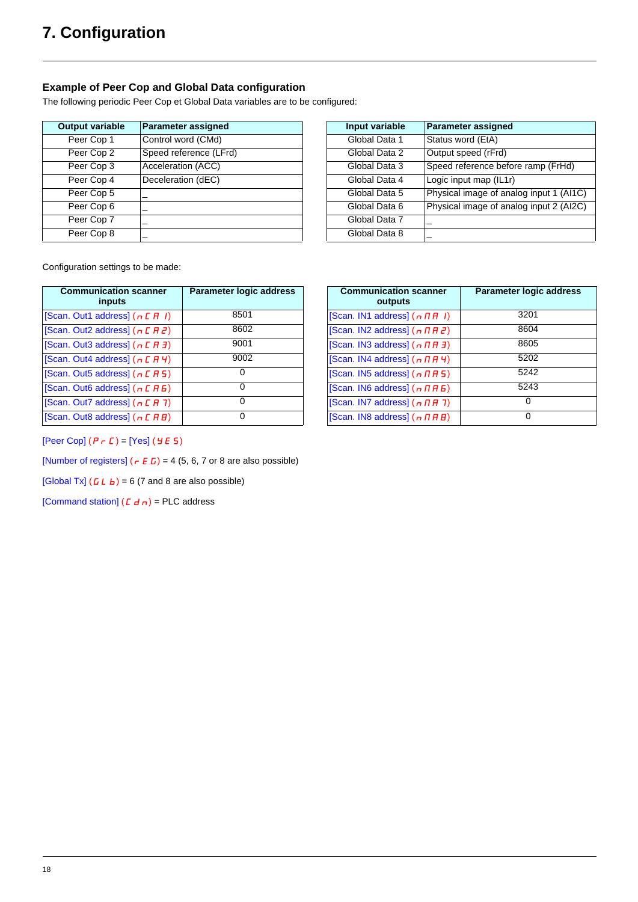### **Example of Peer Cop and Global Data configuration**

The following periodic Peer Cop et Global Data variables are to be configured:

| <b>Output variable</b> | <b>Parameter assigned</b> | Input variable | Parameter assigned     |
|------------------------|---------------------------|----------------|------------------------|
| Peer Cop 1             | Control word (CMd)        | Global Data 1  | Status word (EtA)      |
| Peer Cop 2             | Speed reference (LFrd)    | Global Data 2  | Output speed (rFrd)    |
| Peer Cop 3             | Acceleration (ACC)        | Global Data 3  | Speed reference befor  |
| Peer Cop 4             | Deceleration (dEC)        | Global Data 4  | Logic input map (IL1r) |
| Peer Cop 5             |                           | Global Data 5  | Physical image of ana  |
| Peer Cop 6             |                           | Global Data 6  | Physical image of ana  |
| Peer Cop 7             |                           | Global Data 7  |                        |
| Peer Cop 8             |                           | Global Data 8  |                        |
|                        |                           |                |                        |

| <b>itput variable</b> | <b>Parameter assigned</b> | Input variable | Parameter assigned                      |
|-----------------------|---------------------------|----------------|-----------------------------------------|
| Peer Cop 1            | Control word (CMd)        | Global Data 1  | Status word (EtA)                       |
| Peer Cop 2            | Speed reference (LFrd)    | Global Data 2  | Output speed (rFrd)                     |
| Peer Cop 3            | Acceleration (ACC)        | Global Data 3  | Speed reference before ramp (FrHd)      |
| Peer Cop 4            | Deceleration (dEC)        | Global Data 4  | Logic input map (IL1r)                  |
| Peer Cop 5            |                           | Global Data 5  | Physical image of analog input 1 (AI1C) |
| Peer Cop 6            |                           | Global Data 6  | Physical image of analog input 2 (AI2C) |
| Peer Cop 7            |                           | Global Data 7  |                                         |
| Peer Cop 8            |                           | Global Data 8  |                                         |

Configuration settings to be made:

| <b>Communication scanner</b><br>inputs | Parameter logic address | <b>Communication scanner</b><br>outputs     | Parameter logi |
|----------------------------------------|-------------------------|---------------------------------------------|----------------|
| [Scan. Out1 address] $(n E H I)$       | 8501                    | [Scan. IN1 address] $(n \nPi H)$            | 3201           |
| [Scan. Out2 address] $(n E H Z)$       | 8602                    | [Scan. IN2 address] $(n \Pi H Z)$           | 8604           |
| [Scan. Out3 address] $(n E H J)$       | 9001                    | [Scan. IN3 address] $(n \Pi H J)$           | 8605           |
| [Scan. Out4 address] $(n E H 4)$       | 9002                    | [Scan. IN4 address] $(n \Pi H 4)$           | 5202           |
| [Scan. Out5 address] $(n E H 5)$       | 0                       | [Scan. IN5 address] $(n \nmid \text{H } 5)$ | 5242           |
| [Scan. Out6 address] $(n E H B)$       | 0                       | [Scan. IN6 address] $(n \Pi H B)$           | 5243           |
| [Scan. Out7 address] $(n E H 7)$       | 0                       | [Scan. IN7 address] $(n \nmid n \nmid 7)$   | $\Omega$       |
| [Scan. Out8 address] $(n E H B)$       | 0                       | [Scan. IN8 address] $(n \Pi H B)$           | $\Omega$       |

| Parameter logic address | <b>Communication scanner</b><br>outputs           | <b>Parameter logic address</b> |
|-------------------------|---------------------------------------------------|--------------------------------|
| 8501                    | [Scan. IN1 address] $(n \nPi H)$                  | 3201                           |
| 8602                    | [Scan. IN2 address] $(n \Pi H Z)$                 | 8604                           |
| 9001                    | [Scan. IN3 address] $(n \Pi H J)$                 | 8605                           |
| 9002                    | [Scan. IN4 address] $(n \Pi H 4)$                 | 5202                           |
| 0                       | [Scan. IN5 address] $(n \nmid n \nmid 5)$         | 5242                           |
| $\Omega$                | [Scan. IN6 address] $(n \n  Pi B)$                | 5243                           |
| $\Omega$                | [Scan. IN7 address] $(n \nmid n \nmid 7)$         | 0                              |
| 0                       | [Scan. IN8 address] $(n \nmid \text{H} \text{H})$ | 0                              |

 $[Peer Cop]$   $(P \rightharpoonup C)$  =  $[Yes]$   $(Y \rightharpoonup G)$ 

[Number of registers]  $(r \mathbf{E} \mathbf{L}) = 4 (5, 6, 7)$  or 8 are also possible)

[Global Tx]  $(L L_b) = 6$  (7 and 8 are also possible)

[Command station]  $(L d_n)$  = PLC address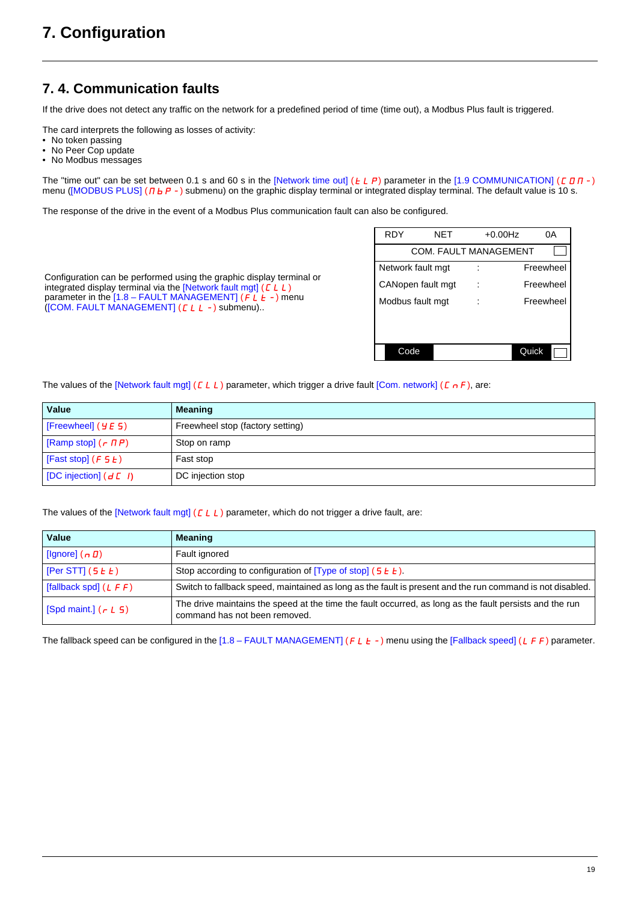## <span id="page-18-0"></span>**7. 4. Communication faults**

If the drive does not detect any traffic on the network for a predefined period of time (time out), a Modbus Plus fault is triggered.

The card interprets the following as losses of activity:

Configuration can be performed using the graphic display terminal or integrated display terminal via the [Network fault mgt]  $(L L)$ parameter in the  $[1.8 - \text{FAULT MANAGEMENT}]$  ( $\overrightarrow{FL} + \overrightarrow{L}$ ) menu

([COM. FAULT MANAGEMENT] (CLL-) submenu)..

- No token passing
- No Peer Cop update
- No Modbus messages

The "time out" can be set between 0.1 s and 60 s in the [Network time out]  $(E L P)$  parameter in the [1.9 COMMUNICATION]  $(E D R -)$ menu ([MODBUS PLUS] ( $\Pi$ b $P$ -) submenu) on the graphic display terminal or integrated display terminal. The default value is 10 s.

The response of the drive in the event of a Modbus Plus communication fault can also be configured.

| RDY               | NET                          | $+0.00$ Hz | 0Α        |
|-------------------|------------------------------|------------|-----------|
|                   | <b>COM. FAULT MANAGEMENT</b> |            |           |
| Network fault mgt |                              |            | Freewheel |
| CANopen fault mgt |                              |            | Freewheel |
| Modbus fault mgt  |                              |            | Freewheel |
|                   |                              |            |           |
|                   |                              |            |           |
| Code              |                              | Quick      |           |
|                   |                              |            |           |

The values of the [Network fault mgt] ( $CLL$ ) parameter, which trigger a drive fault [Com. network] ( $C \nmid F$ ), are:

| Value                                                  | <b>Meaning</b>                   |
|--------------------------------------------------------|----------------------------------|
| $ $ [Freewheel] ( $5$ $5$ )                            | Freewheel stop (factory setting) |
| [Ramp stop] $($ $\tau$ $\bar{H}$ $\bar{P}$ $)$         | Stop on ramp                     |
| [Fast stop] $(F 5 E)$                                  | Fast stop                        |
| $\vert$ [DC injection] ( $d \, \mathcal{L}$ <i>I</i> ) | DC injection stop                |

The values of the [Network fault mgt] ( $CLL$ ) parameter, which do not trigger a drive fault, are:

| Value                        | <b>Meaning</b>                                                                                                                           |
|------------------------------|------------------------------------------------------------------------------------------------------------------------------------------|
| [Ignore] $(n D)$             | Fault ignored                                                                                                                            |
| [Per STT] $(5E)$             | Stop according to configuration of $[Type of stop]$ (5 $E$ $E$ ).                                                                        |
| [fallback spd] $(L \ F \ F)$ | Switch to fallback speed, maintained as long as the fault is present and the run command is not disabled.                                |
| [Spd maint.] $(r L 5)$       | The drive maintains the speed at the time the fault occurred, as long as the fault persists and the run<br>command has not been removed. |

The fallback speed can be configured in the [1.8 – FAULT MANAGEMENT] (FLE-) menu using the [Fallback speed] (LFF) parameter.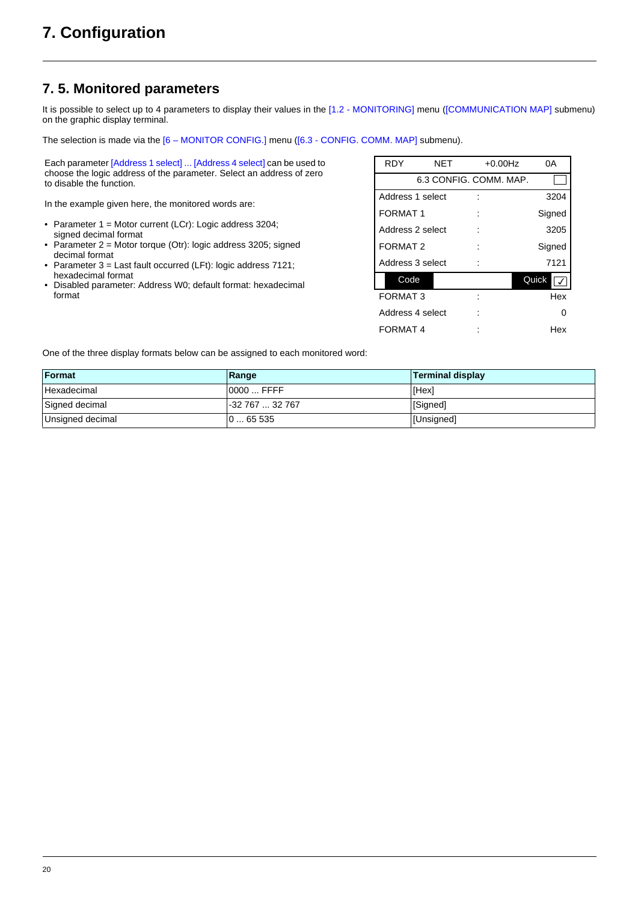## <span id="page-19-0"></span>**7. 5. Monitored parameters**

It is possible to select up to 4 parameters to display their values in the [1.2 - MONITORING] menu ([COMMUNICATION MAP] submenu) on the graphic display terminal.

The selection is made via the  $[6 - MONTOR CONFIG.]$  menu ( $[6.3 - CONFIG.$  COMM. MAP] submenu).

Each parameter [Address 1 select] ... [Address 4 select] can be used to choose the logic address of the parameter. Select an address of zero to disable the function.

In the example given here, the monitored words are:

- Parameter 1 = Motor current (LCr): Logic address 3204; signed decimal format
- Parameter 2 = Motor torque (Otr): logic address 3205; signed decimal format
- Parameter 3 = Last fault occurred (LFt): logic address 7121; hexadecimal format
- Disabled parameter: Address W0; default format: hexadecimal format

| <b>RDY</b>          | <b>NET</b> | $+0.00$ Hz             | 0А     |
|---------------------|------------|------------------------|--------|
|                     |            | 6.3 CONFIG. COMM. MAP. |        |
| Address 1 select    |            |                        | 3204   |
| <b>FORMAT1</b>      |            |                        | Signed |
| Address 2 select    |            |                        | 3205   |
| FORMAT <sub>2</sub> |            |                        | Signed |
| Address 3 select    |            |                        | 7121   |
| Code                |            |                        | Quick  |
| <b>FORMAT 3</b>     |            |                        | Hex    |
| Address 4 select    |            |                        | n      |
| FORMAT 4            |            |                        | Hex    |

One of the three display formats below can be assigned to each monitored word:

| Format           | Range            | <b>Terminal display</b> |
|------------------|------------------|-------------------------|
| Hexadecimal      | $0000$ FFFF      | [Hex]                   |
| Signed decimal   | l-32 767  32 767 | [Signed]                |
| Unsigned decimal | 065535           | [Unsigned]              |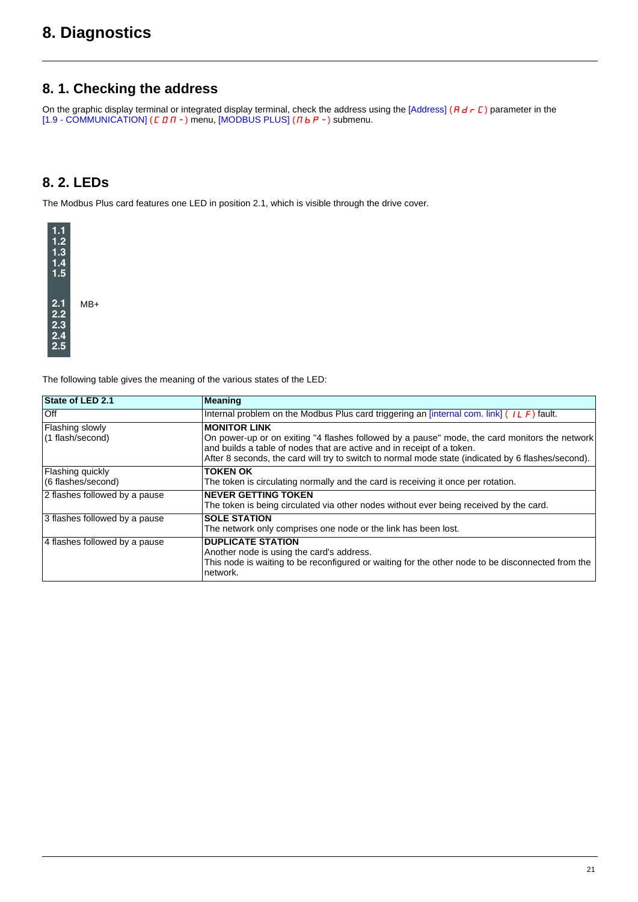## <span id="page-20-0"></span>**8. Diagnostics**

### <span id="page-20-1"></span>**8. 1. Checking the address**

On the graphic display terminal or integrated display terminal, check the address using the [Address] ( $H$  d r  $L$  ) parameter in the [1.9 - COMMUNICATION] ( $E$  D  $n$  -) menu, [MODBUS PLUS] ( $n$   $b$   $P$  -) submenu.

## <span id="page-20-2"></span>**8. 2. LEDs**

The Modbus Plus card features one LED in position 2.1, which is visible through the drive cover.



The following table gives the meaning of the various states of the LED:

| State of LED 2.1                       | <b>Meaning</b>                                                                                                                                                                                                                                                                                       |
|----------------------------------------|------------------------------------------------------------------------------------------------------------------------------------------------------------------------------------------------------------------------------------------------------------------------------------------------------|
| <b>Off</b>                             | Internal problem on the Modbus Plus card triggering an [internal com. link] $(1L \ F)$ fault.                                                                                                                                                                                                        |
| Flashing slowly<br>(1 flash/second)    | <b>MONITOR LINK</b><br>On power-up or on exiting "4 flashes followed by a pause" mode, the card monitors the network<br>and builds a table of nodes that are active and in receipt of a token.<br>After 8 seconds, the card will try to switch to normal mode state (indicated by 6 flashes/second). |
| Flashing quickly<br>(6 flashes/second) | <b>TOKEN OK</b><br>The token is circulating normally and the card is receiving it once per rotation.                                                                                                                                                                                                 |
| 2 flashes followed by a pause          | <b>NEVER GETTING TOKEN</b><br>The token is being circulated via other nodes without ever being received by the card.                                                                                                                                                                                 |
| 3 flashes followed by a pause          | <b>SOLE STATION</b><br>The network only comprises one node or the link has been lost.                                                                                                                                                                                                                |
| 4 flashes followed by a pause          | <b>DUPLICATE STATION</b><br>Another node is using the card's address.<br>This node is waiting to be reconfigured or waiting for the other node to be disconnected from the<br>network.                                                                                                               |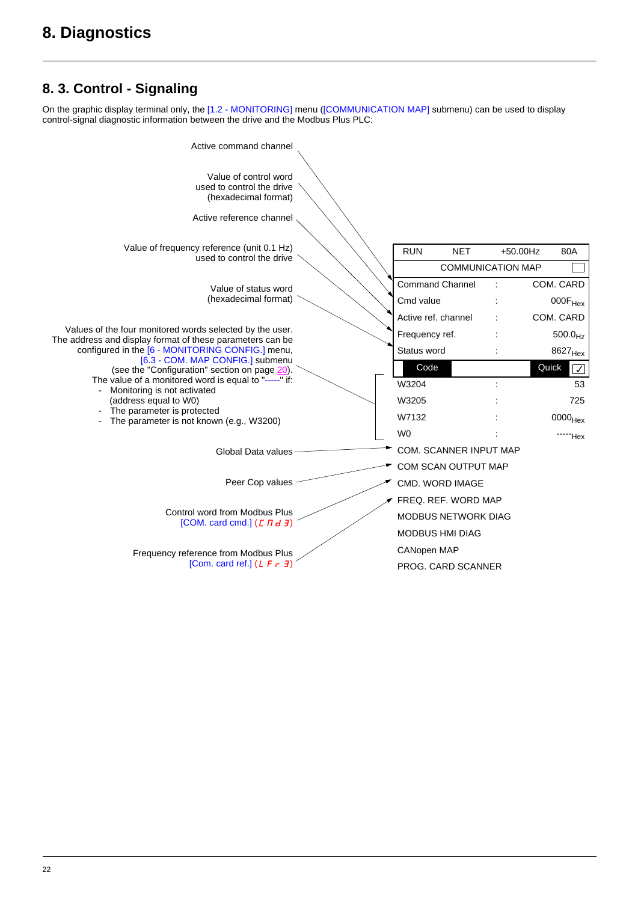## <span id="page-21-0"></span>**8. 3. Control - Signaling**

On the graphic display terminal only, the [1.2 - MONITORING] menu ([COMMUNICATION MAP] submenu) can be used to display control-signal diagnostic information between the drive and the Modbus Plus PLC:

| Active command channel                                                                                                |  |                        |                               |             |                       |
|-----------------------------------------------------------------------------------------------------------------------|--|------------------------|-------------------------------|-------------|-----------------------|
| Value of control word<br>used to control the drive<br>(hexadecimal format)                                            |  |                        |                               |             |                       |
| Active reference channel                                                                                              |  |                        |                               |             |                       |
| Value of frequency reference (unit 0.1 Hz)<br>used to control the drive                                               |  | <b>RUN</b>             | <b>NET</b>                    | $+50.00$ Hz | 80A                   |
|                                                                                                                       |  |                        | <b>COMMUNICATION MAP</b>      |             |                       |
| Value of status word                                                                                                  |  | <b>Command Channel</b> |                               |             | COM. CARD             |
| (hexadecimal format)                                                                                                  |  | Cmd value              |                               |             | $000F_{Hex}$          |
|                                                                                                                       |  | Active ref. channel    |                               |             | COM. CARD             |
| Values of the four monitored words selected by the user.<br>The address and display format of these parameters can be |  | Frequency ref.         |                               |             | 500.0 <sub>Hz</sub>   |
| configured in the [6 - MONITORING CONFIG.] menu,<br>[6.3 - COM. MAP CONFIG.] submenu                                  |  | Status word            |                               |             | 8627 <sub>Hex</sub>   |
| (see the "Configuration" section on page 20).                                                                         |  | Code                   |                               |             | Quick<br>$\checkmark$ |
| The value of a monitored word is equal to "-----" if:<br>- Monitoring is not activated                                |  | W3204                  |                               |             | 53                    |
| (address equal to W0)                                                                                                 |  | W3205                  |                               |             | 725                   |
| The parameter is protected<br>The parameter is not known (e.g., W3200)                                                |  | W7132                  |                               |             | $0000$ Hex            |
|                                                                                                                       |  | W <sub>0</sub>         |                               |             | "Hex                  |
| Global Data values                                                                                                    |  |                        | <b>COM. SCANNER INPUT MAP</b> |             |                       |
|                                                                                                                       |  |                        | COM SCAN OUTPUT MAP           |             |                       |
| Peer Cop values                                                                                                       |  |                        | <b>CMD. WORD IMAGE</b>        |             |                       |
|                                                                                                                       |  |                        | FREQ. REF. WORD MAP           |             |                       |
| Control word from Modbus Plus<br>[COM. card cmd.] $(L \Pi d \exists)$                                                 |  |                        | <b>MODBUS NETWORK DIAG</b>    |             |                       |
|                                                                                                                       |  | <b>MODBUS HMI DIAG</b> |                               |             |                       |
| Frequency reference from Modbus Plus                                                                                  |  | <b>CANopen MAP</b>     |                               |             |                       |
| [Com. card ref.] $(L F \rightharpoondown d)$                                                                          |  |                        | <b>PROG. CARD SCANNER</b>     |             |                       |
|                                                                                                                       |  |                        |                               |             |                       |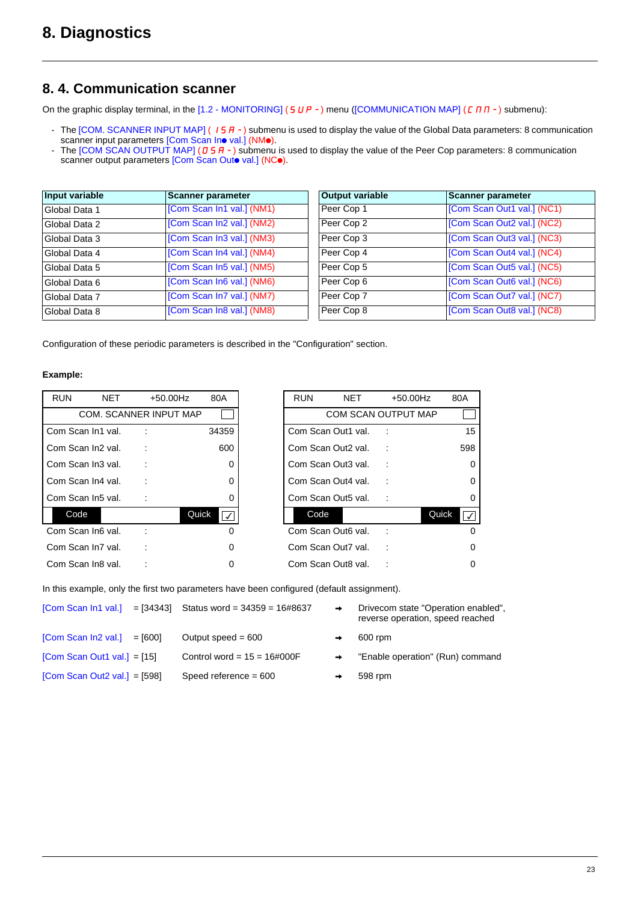### <span id="page-22-0"></span>**8. 4. Communication scanner**

On the graphic display terminal, in the  $[1.2 - MONITORING]$  (5  $UP -$ ) menu ([COMMUNICATION MAP] ( $C \Pi \Pi -$ ) submenu):

- The [COM. SCANNER INPUT MAP] (IS A-) submenu is used to display the value of the Global Data parameters: 8 communication scanner input parameters [Com Scan Ino val.] (NMo).
- The  $[COM SCAN OUTPUT MAP]$  ( $I 5 H -$ ) submenu is used to display the value of the Peer Cop parameters: 8 communication scanner output parameters [Com Scan Outo val.] (NCo).

| Input variable | <b>Scanner parameter</b>  | <b>Output variable</b> | <b>Scanner parameter</b>   |
|----------------|---------------------------|------------------------|----------------------------|
| Global Data 1  | [Com Scan In1 val.] (NM1) | Peer Cop 1             | [Com Scan Out1 val.] (NC1) |
| Global Data 2  | [Com Scan In2 val.] (NM2) | Peer Cop 2             | [Com Scan Out2 val.] (NC2) |
| Global Data 3  | [Com Scan In3 val.] (NM3) | Peer Cop 3             | [Com Scan Out3 val.] (NC3) |
| Global Data 4  | [Com Scan In4 val.] (NM4) | Peer Cop 4             | [Com Scan Out4 val.] (NC4) |
| Global Data 5  | [Com Scan In5 val.] (NM5) | Peer Cop 5             | [Com Scan Out5 val.] (NC5) |
| Global Data 6  | [Com Scan In6 val.] (NM6) | Peer Cop 6             | [Com Scan Out6 val.] (NC6) |
| Global Data 7  | [Com Scan In7 val.] (NM7) | Peer Cop 7             | [Com Scan Out7 val.] (NC7) |
| Global Data 8  | [Com Scan In8 val.] (NM8) | Peer Cop 8             | [Com Scan Out8 val.] (NC8) |

| <b>Output variable</b> | <b>Scanner parameter</b>   |
|------------------------|----------------------------|
| Peer Cop 1             | [Com Scan Out1 val.] (NC1) |
| Peer Cop 2             | [Com Scan Out2 val.] (NC2) |
| Peer Cop 3             | [Com Scan Out3 val.] (NC3) |
| Peer Cop 4             | [Com Scan Out4 val.] (NC4) |
| Peer Cop 5             | [Com Scan Out5 val.] (NC5) |
| Peer Cop 6             | [Com Scan Out6 val.] (NC6) |
| Peer Cop 7             | [Com Scan Out7 val.] (NC7) |
| Peer Cop 8             | [Com Scan Out8 val.] (NC8) |

Configuration of these periodic parameters is described in the "Configuration" section.

#### **Example:**

| <b>RUN</b>        | <b>NET</b> | +50.00Hz                      | 80A     | <b>RUN</b> | <b>NET</b>                 | $+50.00$ Hz | 80A                            |
|-------------------|------------|-------------------------------|---------|------------|----------------------------|-------------|--------------------------------|
|                   |            | <b>COM. SCANNER INPUT MAP</b> |         |            | <b>COM SCAN OUTPUT MAP</b> |             |                                |
| Com Scan In1 val. |            |                               | 34359   |            | Com Scan Out1 val.         |             |                                |
| Com Scan In2 val. |            |                               | 600     |            | Com Scan Out2 val.         |             | 598                            |
| Com Scan In3 val. |            |                               | 0       |            | Com Scan Out3 val.         | ÷           |                                |
| Com Scan In4 val. |            |                               | 0       |            | Com Scan Out4 val.         |             |                                |
| Com Scan In5 val. |            |                               | 0       |            | Com Scan Out5 val.         |             |                                |
| Code              |            | Quick                         | $\prec$ | Code       |                            |             | Quick<br>$\overline{\sqrt{2}}$ |
| Com Scan In6 val. |            |                               | 0       |            | Com Scan Out6 val.         |             |                                |
| Com Scan In7 val. |            |                               | 0       |            | Com Scan Out7 val.         |             |                                |
| Com Scan In8 val. |            |                               | 0       |            | Com Scan Out8 val.         |             |                                |

| <b>RUN</b> | NET                        | +50.00Hz |       | 80A |
|------------|----------------------------|----------|-------|-----|
|            | <b>COM SCAN OUTPUT MAP</b> |          |       |     |
|            | Com Scan Out1 val.         |          |       | 15  |
|            | Com Scan Out2 val.         |          |       | 598 |
|            | Com Scan Out3 val.         |          |       | 0   |
|            | Com Scan Out4 val.         |          |       | Ω   |
|            | Com Scan Out5 val.         |          |       | 0   |
| Code       |                            |          | Quick |     |
|            | Com Scan Out6 val.         |          |       |     |
|            | Com Scan Out7 val.         |          |       |     |
|            | Com Scan Out8 val.         |          |       |     |

In this example, only the first two parameters have been configured (default assignment).

|                                | $[Com Scan In1 val.]$ = $[34343]$ Status word = $34359$ = $16\#8637$ |               | Drivecom state "Operation enabled",<br>reverse operation, speed reached |
|--------------------------------|----------------------------------------------------------------------|---------------|-------------------------------------------------------------------------|
| $[Com Scan In2 val.] = [600]$  | Output speed $= 600$                                                 |               | 600 rpm                                                                 |
| [Com Scan Out1 val.] = $[15]$  | Control word = $15 = 16\#000F$                                       | $\rightarrow$ | "Enable operation" (Run) command                                        |
| [Com Scan Out2 val.] = $[598]$ | Speed reference $= 600$                                              |               | 598 rpm                                                                 |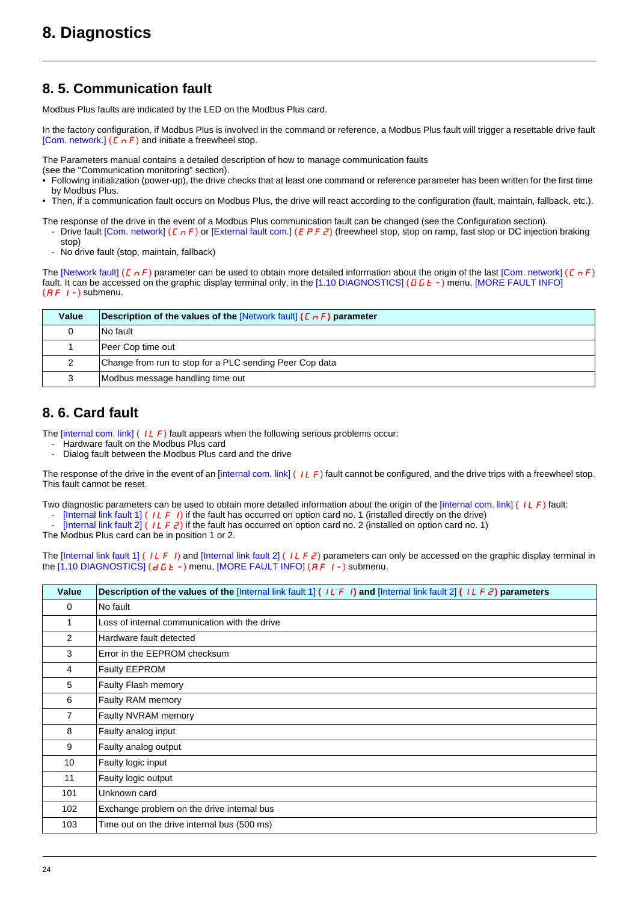## <span id="page-23-0"></span>**8. 5. Communication fault**

Modbus Plus faults are indicated by the LED on the Modbus Plus card.

In the factory configuration, if Modbus Plus is involved in the command or reference, a Modbus Plus fault will trigger a resettable drive fault [Com. network.] ( $\Gamma \cap F$ ) and initiate a freewheel stop.

The Parameters manual contains a detailed description of how to manage communication faults

- (see the "Communication monitoring" section).
- Following initialization (power-up), the drive checks that at least one command or reference parameter has been written for the first time by Modbus Plus.
- Then, if a communication fault occurs on Modbus Plus, the drive will react according to the configuration (fault, maintain, fallback, etc.).
- The response of the drive in the event of a Modbus Plus communication fault can be changed (see the Configuration section). Drive fault [Com. network] ( $\Gamma_{\Pi}F$ ) or [External fault com.] ( $E P F Z$ ) (freewheel stop, stop on ramp, fast stop or DC injection braking
	- stop)
	- No drive fault (stop, maintain, fallback)

The [Network fault] ( $\Gamma$   $\sigma$  F) parameter can be used to obtain more detailed information about the origin of the last [Com. network] ( $\Gamma$   $\sigma$  F) fault. It can be accessed on the graphic display terminal only, in the [1.10 DIAGNOSTICS] ( $\vec{a}$   $\vec{b}$  +  $\cdot$ ) menu, [MORE FAULT INFO]  $(HF I-)$  submenu.

| Value | <b>Description of the values of the [Network fault] (E <math>nF</math>) parameter</b> |
|-------|---------------------------------------------------------------------------------------|
|       | No fault                                                                              |
|       | Peer Cop time out                                                                     |
|       | Change from run to stop for a PLC sending Peer Cop data                               |
|       | Modbus message handling time out                                                      |

## <span id="page-23-1"></span>**8. 6. Card fault**

The  $[internal com. link]$  (ILF) fault appears when the following serious problems occur:

- Hardware fault on the Modbus Plus card
- Dialog fault between the Modbus Plus card and the drive

The response of the drive in the event of an [internal com. link] (ILF) fault cannot be configured, and the drive trips with a freewheel stop. This fault cannot be reset.

Two diagnostic parameters can be used to obtain more detailed information about the origin of the [internal com. link] (ILF) fault:

- [Internal link fault 1] (ILFI) if the fault has occurred on option card no. 1 (installed directly on the drive)
- [Internal link fault 2]  $(1)$   $(1)$   $\overrightarrow{P}$  if the fault has occurred on option card no. 2 (installed on option card no. 1)

The Modbus Plus card can be in position 1 or 2.

The [Internal link fault 1] (ILFI) and [Internal link fault 2] (ILFZ) parameters can only be accessed on the graphic display terminal in the  $[1.10$  DIAGNOSTICS] ( $dE-$ ) menu, [MORE FAULT INFO] ( $HF$   $I-$ ) submenu.

| Value           | <b>Description of the values of the [Internal link fault 1] (ILFI) and [Internal link fault 2] (ILFE) parameters</b> |
|-----------------|----------------------------------------------------------------------------------------------------------------------|
| $\mathbf 0$     | No fault                                                                                                             |
| 1               | Loss of internal communication with the drive                                                                        |
| $\overline{2}$  | Hardware fault detected                                                                                              |
| 3               | Error in the EEPROM checksum                                                                                         |
| 4               | Faulty EEPROM                                                                                                        |
| 5               | Faulty Flash memory                                                                                                  |
| 6               | Faulty RAM memory                                                                                                    |
| $\overline{7}$  | Faulty NVRAM memory                                                                                                  |
| 8               | Faulty analog input                                                                                                  |
| 9               | Faulty analog output                                                                                                 |
| 10 <sup>°</sup> | Faulty logic input                                                                                                   |
| 11              | Faulty logic output                                                                                                  |
| 101             | Unknown card                                                                                                         |
| 102             | Exchange problem on the drive internal bus                                                                           |
| 103             | Time out on the drive internal bus (500 ms)                                                                          |